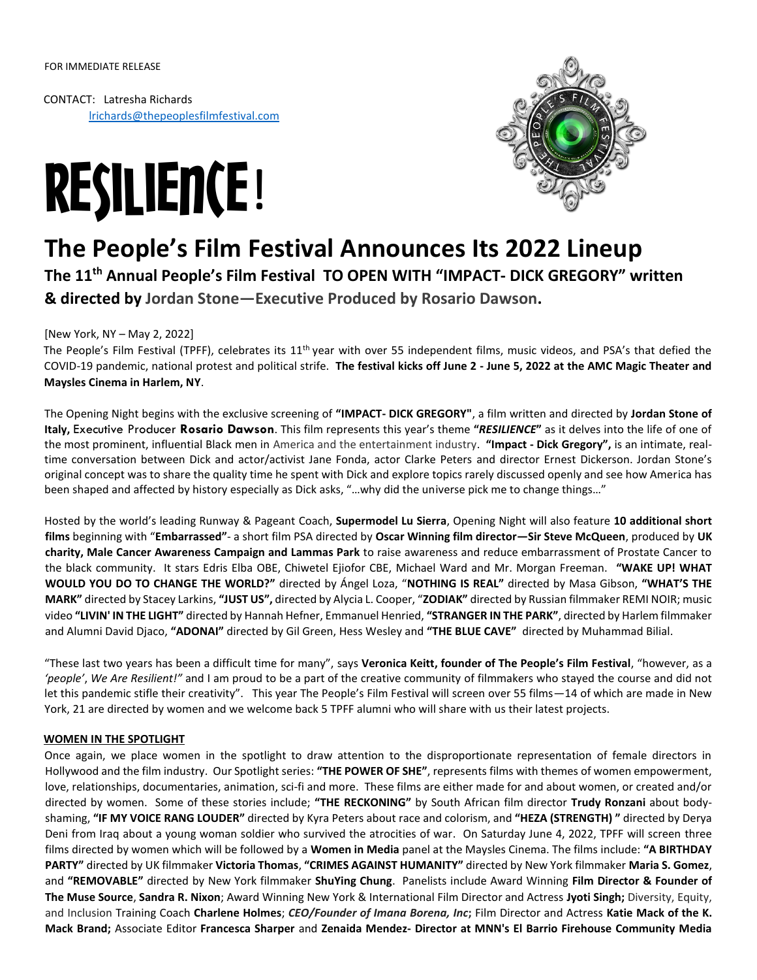CONTACT: Latresha Richards lrichards@thepeoplesfilmfestival.com





# **The People's Film Festival Announces Its 2022 Lineup**

**The 11th Annual People's Film Festival TO OPEN WITH "IMPACT- DICK GREGORY" written & directed by Jordan Stone—Executive Produced by Rosario Dawson.**

### [New York, NY – May 2, 2022]

The People's Film Festival (TPFF), celebrates its 11<sup>th</sup> year with over 55 independent films, music videos, and PSA's that defied the COVID-19 pandemic, national protest and political strife. **The festival kicks off June 2 - June 5, 2022 at the AMC Magic Theater and Maysles Cinema in Harlem, NY**.

The Opening Night begins with the exclusive screening of **"IMPACT- DICK GREGORY"**, a film written and directed by **Jordan Stone of Italy,** Executive Producer **Rosario Dawson**. This film represents this year's theme **"***RESILIENCE***"** as it delves into the life of one of the most prominent, influential Black men in America and the entertainment industry. **"Impact - Dick Gregory",** is an intimate, realtime conversation between Dick and actor/activist Jane Fonda, actor Clarke Peters and director Ernest Dickerson. Jordan Stone's original concept was to share the quality time he spent with Dick and explore topics rarely discussed openly and see how America has been shaped and affected by history especially as Dick asks, "…why did the universe pick me to change things…"

Hosted by the world's leading Runway & Pageant Coach, **Supermodel Lu Sierra**, Opening Night will also feature **10 additional short films** beginning with "**Embarrassed"**- a short film PSA directed by **Oscar Winning film director—Sir Steve McQueen**, produced by **UK charity, Male Cancer Awareness Campaign and Lammas Park** to raise awareness and reduce embarrassment of Prostate Cancer to the black community. It stars Edris Elba OBE, Chiwetel Ejiofor CBE, Michael Ward and Mr. Morgan Freeman. **"WAKE UP! WHAT WOULD YOU DO TO CHANGE THE WORLD?"** directed by Ángel Loza, "**NOTHING IS REAL"** directed by Masa Gibson, **"WHAT'S THE MARK"** directed by Stacey Larkins, **"JUST US",** directed by Alycia L. Cooper, "**ZODIAK"** directed by Russian filmmaker REMI NOIR; music video **"LIVIN' IN THE LIGHT"** directed by Hannah Hefner, Emmanuel Henried, **"STRANGER IN THE PARK"**, directed by Harlem filmmaker and Alumni David Djaco, **"ADONAI"** directed by Gil Green, Hess Wesley and **"THE BLUE CAVE"** directed by Muhammad Bilial.

"These last two years has been a difficult time for many", says **Veronica Keitt, founder of The People's Film Festival**, "however, as a *'people'*, *We Are Resilient!"* and I am proud to be a part of the creative community of filmmakers who stayed the course and did not let this pandemic stifle their creativity". This year The People's Film Festival will screen over 55 films - 14 of which are made in New York, 21 are directed by women and we welcome back 5 TPFF alumni who will share with us their latest projects.

#### **WOMEN IN THE SPOTLIGHT**

Once again, we place women in the spotlight to draw attention to the disproportionate representation of female directors in Hollywood and the film industry. Our Spotlight series: **"THE POWER OF SHE"**, represents films with themes of women empowerment, love, relationships, documentaries, animation, sci-fi and more. These films are either made for and about women, or created and/or directed by women. Some of these stories include; **"THE RECKONING"** by South African film director **Trudy Ronzani** about bodyshaming, **"IF MY VOICE RANG LOUDER"** directed by Kyra Peters about race and colorism, and **"HEZA (STRENGTH) "** directed by Derya Deni from Iraq about a young woman soldier who survived the atrocities of war. On Saturday June 4, 2022, TPFF will screen three films directed by women which will be followed by a **Women in Media** panel at the Maysles Cinema. The films include: **"A BIRTHDAY PARTY"** directed by UK filmmaker **Victoria Thomas**, **"CRIMES AGAINST HUMANITY"** directed by New York filmmaker **Maria S. Gomez**, and **"REMOVABLE"** directed by New York filmmaker **ShuYing Chung**. Panelists include Award Winning **Film Director & Founder of The Muse Source**, **Sandra R. Nixon**; Award Winning New York & International Film Director and Actress **Jyoti Singh;** Diversity, Equity, and Inclusion Training Coach **Charlene Holmes**; *CEO/Founder of Imana Borena, Inc***;** Film Director and Actress **Katie Mack of the K. Mack Brand;** Associate Editor **Francesca Sharper** and **Zenaida Mendez- Director at MNN's El Barrio Firehouse Community Media**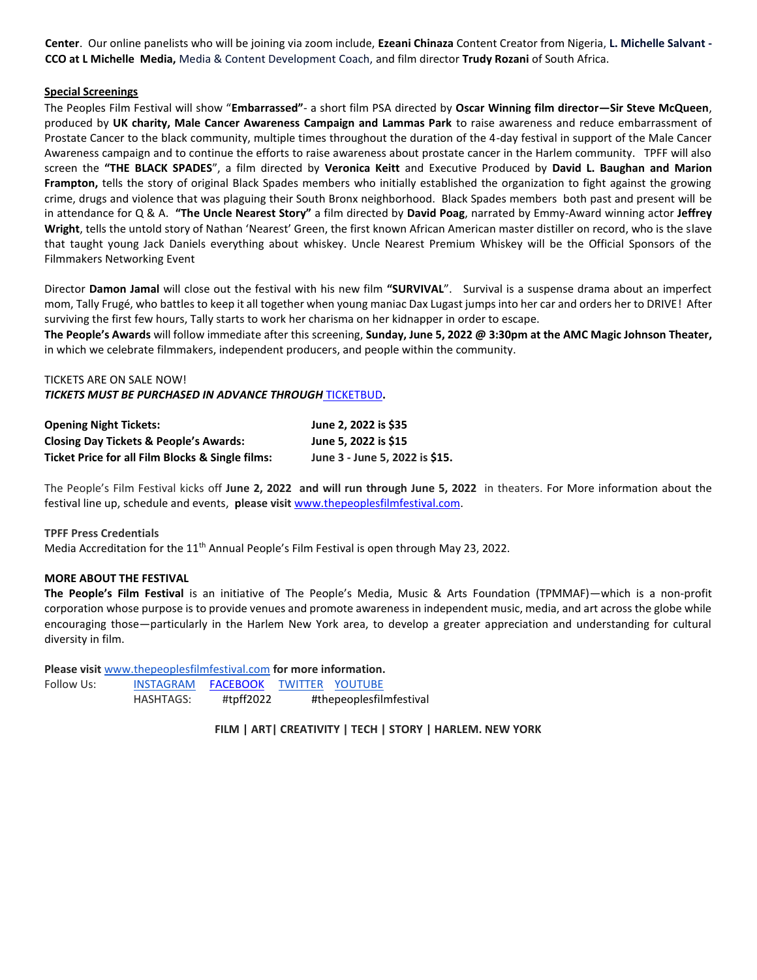**Center**. Our online panelists who will be joining via zoom include, **Ezeani Chinaza** Content Creator from Nigeria, **L. Michelle Salvant - CCO at L Michelle Media,** Media & Content Development Coach, and film director **Trudy Rozani** of South Africa.

#### **Special Screenings**

The Peoples Film Festival will show "**Embarrassed"**- a short film PSA directed by **Oscar Winning film director—Sir Steve McQueen**, produced by **UK charity, Male Cancer Awareness Campaign and Lammas Park** to raise awareness and reduce embarrassment of Prostate Cancer to the black community, multiple times throughout the duration of the 4-day festival in support of the Male Cancer Awareness campaign and to continue the efforts to raise awareness about prostate cancer in the Harlem community. TPFF will also screen the **"THE BLACK SPADES**", a film directed by **Veronica Keitt** and Executive Produced by **David L. Baughan and Marion Frampton,** tells the story of original Black Spades members who initially established the organization to fight against the growing crime, drugs and violence that was plaguing their South Bronx neighborhood. Black Spades members both past and present will be in attendance for Q & A. **"The Uncle Nearest Story"** a film directed by **David Poag**, narrated by Emmy-Award winning actor **Jeffrey**  Wright, tells the untold story of Nathan 'Nearest' Green, the first known African American master distiller on record, who is the slave that taught young Jack Daniels everything about whiskey. Uncle Nearest Premium Whiskey will be the Official Sponsors of the Filmmakers Networking Event

Director **Damon Jamal** will close out the festival with his new film **"SURVIVAL**". Survival is a suspense drama about an imperfect mom, Tally Frugé, who battles to keep it all together when young maniac Dax Lugast jumps into her car and orders her to DRIVE! After surviving the first few hours, Tally starts to work her charisma on her kidnapper in order to escape.

**The People's Awards** will follow immediate after this screening, **Sunday, June 5, 2022 @ 3:30pm at the AMC Magic Johnson Theater,** in which we celebrate filmmakers, independent producers, and people within the community.

TICKETS ARE ON SALE NOW! *TICKETS MUST BE PURCHASED IN ADVANCE THROUGH* [TICKETBUD](https://bit.ly/thepeoplesfilmfestival2022tickets)**.** 

| <b>Opening Night Tickets:</b>                     | June 2, 2022 is \$35           |
|---------------------------------------------------|--------------------------------|
| <b>Closing Day Tickets &amp; People's Awards:</b> | June 5, 2022 is \$15           |
| Ticket Price for all Film Blocks & Single films:  | June 3 - June 5, 2022 is \$15. |

The People's Film Festival kicks off **June 2, 2022 and will run through June 5, 2022** in theaters. For More information about the festival line up, schedule and events, **please visit** [www.thepeoplesfilmfestival.com.](http://www.thepeoplesfilmfestival.com/) 

#### **TPFF Press Credentials**

Media Accreditation for the 11<sup>th</sup> Annual People's Film Festival is open through May 23, 2022.

#### **MORE ABOUT THE FESTIVAL**

**The People's Film Festival** is an initiative of The People's Media, Music & Arts Foundation (TPMMAF)—which is a non-profit corporation whose purpose is to provide venues and promote awareness in independent music, media, and art across the globe while encouraging those—particularly in the Harlem New York area, to develop a greater appreciation and understanding for cultural diversity in film.

**Please visit** [www.thepeoplesfilmfestival.com](http://www.thepeoplesfilmfestival.com/) **for more information.**

| Follow Us: | <b>INSTAGRAM</b> | FACEBOOK  |                         | <b>TWITTER YOUTUBE</b> |
|------------|------------------|-----------|-------------------------|------------------------|
|            | HASHTAGS:        | #tpff2022 | #thepeoplesfilmfestival |                        |

**FILM | ART| CREATIVITY | TECH | STORY | HARLEM. NEW YORK**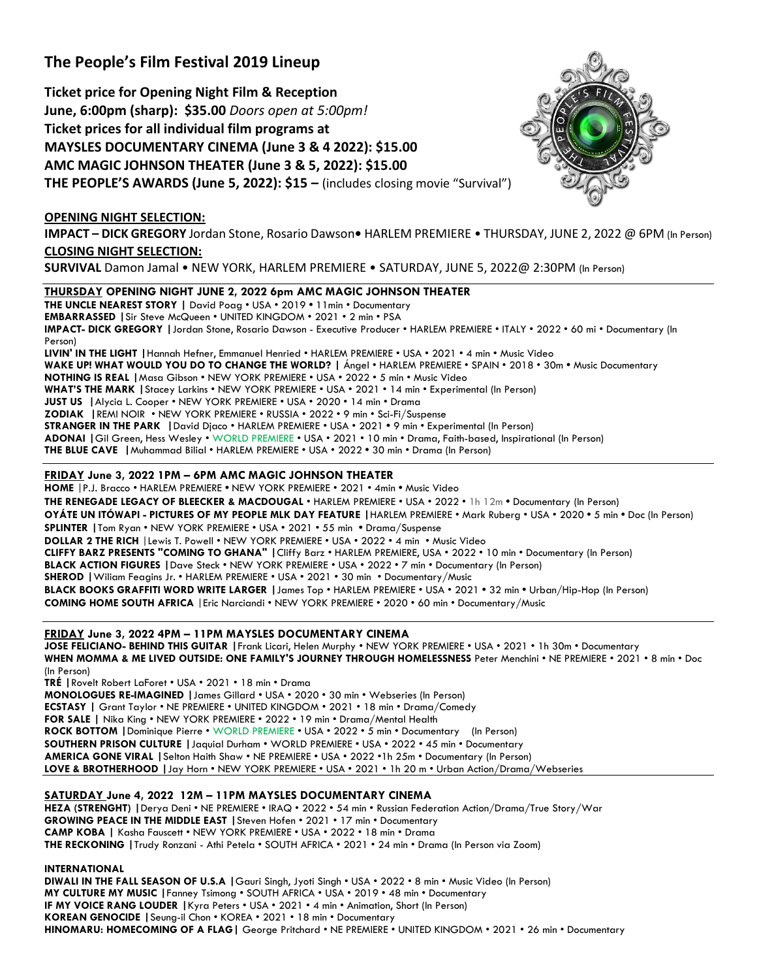# **The People's Film Festival 2019 Lineup**

**Ticket price for Opening Night Film & Reception June, 6:00pm (sharp): \$35.00** *Doors open at 5:00pm!* **Ticket prices for all individual film programs at MAYSLES DOCUMENTARY CINEMA (June 3 & 4 2022): \$15.00 AMC MAGIC JOHNSON THEATER (June 3 & 5, 2022): \$15.00 THE PEOPLE'S AWARDS (June 5, 2022): \$15 –** (includes closing movie "Survival")

## **OPENING NIGHT SELECTION:**

**IMPACT – DICK GREGORY** Jordan Stone, Rosario Dawson**•** HARLEM PREMIERE • THURSDAY, JUNE 2, 2022 @ 6PM (In Person) **CLOSING NIGHT SELECTION:**

**SURVIVAL** Damon Jamal • NEW YORK, HARLEM PREMIERE • SATURDAY, JUNE 5, 2022@ 2:30PM (In Person)

#### **THURSDAY OPENING NIGHT JUNE 2, 2022 6pm AMC MAGIC JOHNSON THEATER**

**THE UNCLE NEAREST STORY |** David Poag • USA • 2019 **•** 11min • Documentary **EMBARRASSED |**Sir Steve McQueen • UNITED KINGDOM • 2021 • 2 min • PSA **IMPACT- DICK GREGORY |**Jordan Stone, Rosario Dawson - Executive Producer • HARLEM PREMIERE • ITALY • 2022 • 60 mi • Documentary (In Person) **LIVIN' IN THE LIGHT |**Hannah Hefner, Emmanuel Henried • HARLEM PREMIERE • USA • 2021 • 4 min • Music Video **WAKE UP! WHAT WOULD YOU DO TO CHANGE THE WORLD? |** Ángel • HARLEM PREMIERE • SPAIN • 2018 • 30m **•** Music Documentary **NOTHING IS REAL |**Masa Gibson • NEW YORK PREMIERE • USA • 2022 • 5 min • Music Video **WHAT'S THE MARK |**Stacey Larkins • NEW YORK PREMIERE • USA • 2021 • 14 min • Experimental (In Person) **JUST US |**Alycia L. Cooper • NEW YORK PREMIERE • USA • 2020 • 14 min • Drama **ZODIAK |**REMI NOIR • NEW YORK PREMIERE • RUSSIA • 2022 • 9 min • Sci-Fi/Suspense **STRANGER IN THE PARK |**David Djaco • HARLEM PREMIERE • USA • 2021 **•** 9 min • Experimental (In Person) **ADONAI |**Gil Green, Hess Wesley • WORLD PREMIERE • USA • 2021 • 10 min • Drama, Faith-based, Inspirational (In Person) **THE BLUE CAVE |**Muhammad Bilial • HARLEM PREMIERE • USA • 2022 **•** 30 min • Drama (In Person)

#### **FRIDAY June 3, 2022 1PM – 6PM AMC MAGIC JOHNSON THEATER**

**HOME** |P.J. Bracco • HARLEM PREMIERE **•** NEW YORK PREMIERE • 2021 • 4min **•** Music Video **THE RENEGADE LEGACY OF BLEECKER & MACDOUGAL** • HARLEM PREMIERE • USA • 2022 • 1h 12m **•** Documentary (In Person) **OYÁTE UN ITÓWAPI - PICTURES OF MY PEOPLE MLK DAY FEATURE |**HARLEM PREMIERE • Mark Ruberg • USA • 2020 **•** 5 min **•** Doc (In Person) **SPLINTER |**Tom Ryan • NEW YORK PREMIERE • USA • 2021 • 55 min **•** Drama/Suspense **DOLLAR 2 THE RICH** |Lewis T. Powell • NEW YORK PREMIERE • USA • 2022 • 4 min • Music Video **CLIFFY BARZ PRESENTS "COMING TO GHANA" |**Cliffy Barz • HARLEM PREMIERE, USA • 2022 • 10 min • Documentary (In Person) **BLACK ACTION FIGURES |**Dave Steck • NEW YORK PREMIERE • USA • 2022 • 7 min • Documentary (In Person) **SHEROD |**Wiliam Feagins Jr. • HARLEM PREMIERE • USA • 2021 • 30 min • Documentary/Music **BLACK BOOKS GRAFFITI WORD WRITE LARGER |**James Top • HARLEM PREMIERE • USA • 2021 **•** 32 min **•** Urban/Hip-Hop (In Person) **COMING HOME SOUTH AFRICA** |Eric Narciandi • NEW YORK PREMIERE • 2020 • 60 min • Documentary/Music

#### **FRIDAY June 3, 2022 4PM – 11PM MAYSLES DOCUMENTARY CINEMA**

**JOSE FELICIANO- BEHIND THIS GUITAR |**Frank Licari, Helen Murphy • NEW YORK PREMIERE • USA • 2021 • 1h 30m • Documentary **WHEN MOMMA & ME LIVED OUTSIDE: ONE FAMILY'S JOURNEY THROUGH HOMELESSNESS** Peter Menchini • NE PREMIERE • 2021 • 8 min • Doc (In Person)

**TRÉ |**Rovelt Robert LaForet • USA • 2021 • 18 min • Drama **MONOLOGUES RE-IMAGINED |**James Gillard • USA • 2020 • 30 min • Webseries (In Person) **ECSTASY |** Grant Taylor • NE PREMIERE • UNITED KINGDOM • 2021 • 18 min • Drama/Comedy **FOR SALE |** Nika King • NEW YORK PREMIERE • 2022 • 19 min • Drama/Mental Health **ROCK BOTTOM |**Dominique Pierre • WORLD PREMIERE • USA • 2022 • 5 min • Documentary(In Person) **SOUTHERN PRISON CULTURE |**Jaquial Durham • WORLD PREMIERE • USA • 2022 • 45 min • Documentary **AMERICA GONE VIRAL |**Selton Haith Shaw • NE PREMIERE • USA • 2022 •1h 25m • Documentary (In Person) **LOVE & BROTHERHOOD |**Jay Horn • NEW YORK PREMIERE • USA • 2021 • 1h 20 m • Urban Action/Drama/Webseries

#### **SATURDAY June 4, 2022 12M – 11PM MAYSLES DOCUMENTARY CINEMA**

**HEZA (STRENGHT) |**Derya Deni • NE PREMIERE • IRAQ • 2022 • 54 min • Russian Federation Action/Drama/True Story/War **GROWING PEACE IN THE MIDDLE EAST |**Steven Hofen • 2021 • 17 min • Documentary **CAMP KOBA |** Kasha Fauscett • NEW YORK PREMIERE • USA • 2022 • 18 min • Drama **THE RECKONING |**Trudy Ronzani - Athi Petela • SOUTH AFRICA • 2021 • 24 min • Drama (In Person via Zoom)

**INTERNATIONAL**

**DIWALI IN THE FALL SEASON OF U.S.A |**Gauri Singh, Jyoti Singh • USA • 2022 • 8 min • Music Video (In Person) **MY CULTURE MY MUSIC |**Fanney Tsimong • SOUTH AFRICA • USA • 2019 • 48 min • Documentary **IF MY VOICE RANG LOUDER |**Kyra Peters • USA • 2021 • 4 min • Animation, Short (In Person) **KOREAN GENOCIDE |**Seung-il Chon • KOREA • 2021 • 18 min • Documentary **HINOMARU: HOMECOMING OF A FLAG|** George Pritchard • NE PREMIERE • UNITED KINGDOM • 2021 • 26 min • Documentary